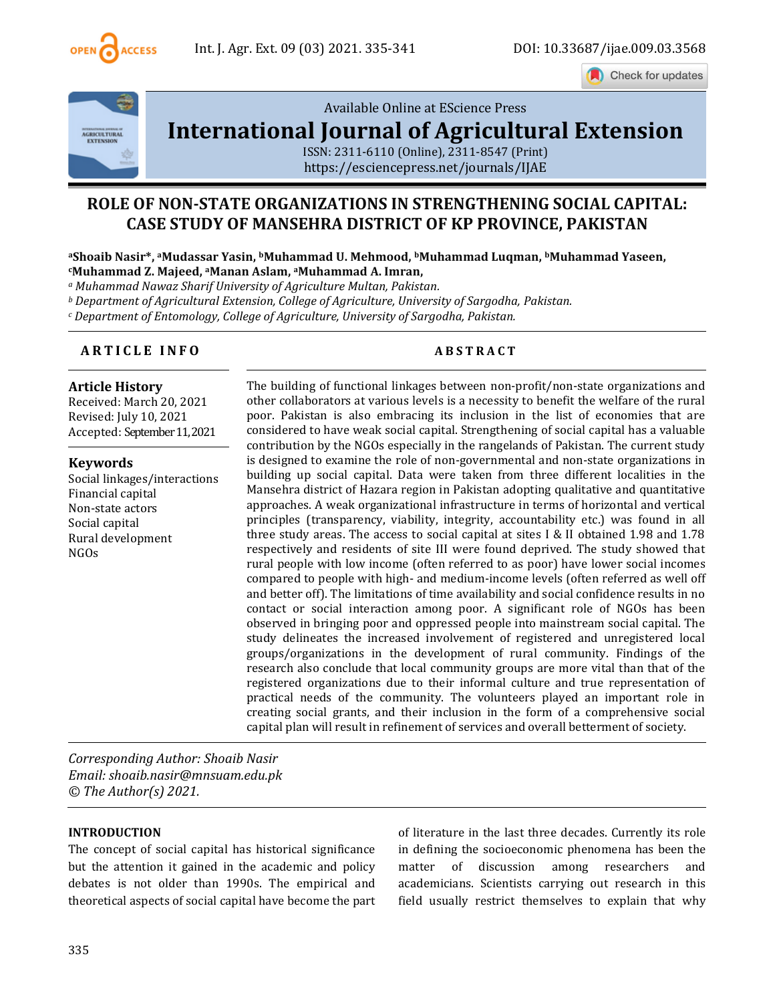

Check for updates



[Available Online at EScience Press](file:///C:/Users/user/Downloads/finalvol9issue32021ijae26articles/Available%20Online%20at%20EScience%20Press%20International%20Journal%20of%20Agricultural%20ExtensionISSN:%202311-6110%20(Online),%202311-8547%20(Print)https:/esciencepress.net/journals/IJAE) 

# **[International Journal of Agricultural Extension](file:///C:/Users/user/Downloads/finalvol9issue32021ijae26articles/Available%20Online%20at%20EScience%20Press%20International%20Journal%20of%20Agricultural%20ExtensionISSN:%202311-6110%20(Online),%202311-8547%20(Print)https:/esciencepress.net/journals/IJAE)**

[ISSN: 2311-6110 \(Online\), 2311-8547 \(Print\)](file:///C:/Users/user/Downloads/finalvol9issue32021ijae26articles/Available%20Online%20at%20EScience%20Press%20International%20Journal%20of%20Agricultural%20ExtensionISSN:%202311-6110%20(Online),%202311-8547%20(Print)https:/esciencepress.net/journals/IJAE) [https://esciencepress.net/journals/IJAE](file:///C:/Users/user/Downloads/finalvol9issue32021ijae26articles/Available%20Online%20at%20EScience%20Press%20International%20Journal%20of%20Agricultural%20ExtensionISSN:%202311-6110%20(Online),%202311-8547%20(Print)https:/esciencepress.net/journals/IJAE)

# **ROLE OF NON-STATE ORGANIZATIONS IN STRENGTHENING SOCIAL CAPITAL: CASE STUDY OF MANSEHRA DISTRICT OF KP PROVINCE, PAKISTAN**

#### **<sup>a</sup>Shoaib Nasir\*, <sup>a</sup>Mudassar Yasin, bMuhammad U. Mehmood, bMuhammad Luqman, bMuhammad Yaseen, <sup>c</sup>Muhammad Z. Majeed, <sup>a</sup>Manan Aslam, aMuhammad A. Imran,**

*<sup>a</sup> Muhammad Nawaz Sharif University of Agriculture Multan, Pakistan.*

*<sup>b</sup> Department of Agricultural Extension, College of Agriculture, University of Sargodha, Pakistan.*

*<sup>c</sup> Department of Entomology, College of Agriculture, University of Sargodha, Pakistan.* 

## **A R T I C L E I N F O A B S T R A C T**

### **Article History**

Received: March 20, 2021 Revised: July 10, 2021 Accepted: September11, 2021

### **Keywords**

Social linkages/interactions Financial capital Non-state actors Social capital Rural development NGOs

The building of functional linkages between non-profit/non-state organizations and other collaborators at various levels is a necessity to benefit the welfare of the rural poor. Pakistan is also embracing its inclusion in the list of economies that are considered to have weak social capital. Strengthening of social capital has a valuable contribution by the NGOs especially in the rangelands of Pakistan. The current study is designed to examine the role of non-governmental and non-state organizations in building up social capital. Data were taken from three different localities in the Mansehra district of Hazara region in Pakistan adopting qualitative and quantitative approaches. A weak organizational infrastructure in terms of horizontal and vertical principles (transparency, viability, integrity, accountability etc.) was found in all three study areas. The access to social capital at sites I & II obtained 1.98 and 1.78 respectively and residents of site III were found deprived. The study showed that rural people with low income (often referred to as poor) have lower social incomes compared to people with high- and medium-income levels (often referred as well off and better off). The limitations of time availability and social confidence results in no contact or social interaction among poor. A significant role of NGOs has been observed in bringing poor and oppressed people into mainstream social capital. The study delineates the increased involvement of registered and unregistered local groups/organizations in the development of rural community. Findings of the research also conclude that local community groups are more vital than that of the registered organizations due to their informal culture and true representation of practical needs of the community. The volunteers played an important role in creating social grants, and their inclusion in the form of a comprehensive social capital plan will result in refinement of services and overall betterment of society.

*Corresponding Author: Shoaib Nasir Email: shoaib.nasir@mnsuam.edu.pk © The Author(s) 2021.*

#### **INTRODUCTION**

The concept of social capital has historical significance but the attention it gained in the academic and policy debates is not older than 1990s. The empirical and theoretical aspects of social capital have become the part of literature in the last three decades. Currently its role in defining the socioeconomic phenomena has been the matter of discussion among researchers and academicians. Scientists carrying out research in this field usually restrict themselves to explain that why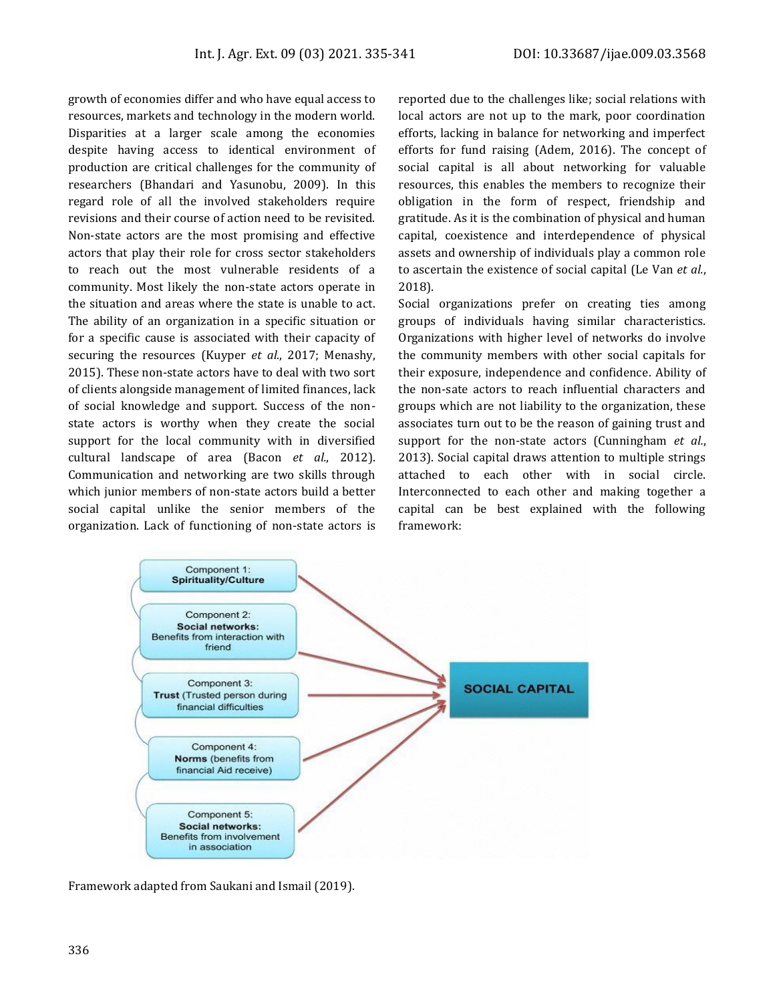growth of economies differ and who have equal access to resources, markets and technology in the modern world. Disparities at a larger scale among the economies despite having access to identical environment of production are critical challenges for the community of researchers (Bhandari and Yasunobu, 2009). In this regard role of all the involved stakeholders require revisions and their course of action need to be revisited. Non-state actors are the most promising and effective actors that play their role for cross sector stakeholders to reach out the most vulnerable residents of a community. Most likely the non-state actors operate in the situation and areas where the state is unable to act. The ability of an organization in a specific situation or for a specific cause is associated with their capacity of securing the resources (Kuyper *et al.*, 2017; Menashy, 2015). These non-state actors have to deal with two sort of clients alongside management of limited finances, lack of social knowledge and support. Success of the nonstate actors is worthy when they create the social support for the local community with in diversified cultural landscape of area (Bacon *et al.*, 2012). Communication and networking are two skills through which junior members of non-state actors build a better social capital unlike the senior members of the organization. Lack of functioning of non-state actors is

reported due to the challenges like; social relations with local actors are not up to the mark, poor coordination efforts, lacking in balance for networking and imperfect efforts for fund raising (Adem, 2016). The concept of social capital is all about networking for valuable resources, this enables the members to recognize their obligation in the form of respect, friendship and gratitude. As it is the combination of physical and human capital, coexistence and interdependence of physical assets and ownership of individuals play a common role to ascertain the existence of social capital (Le Van *et al.*, 2018).

Social organizations prefer on creating ties among groups of individuals having similar characteristics. Organizations with higher level of networks do involve the community members with other social capitals for their exposure, independence and confidence. Ability of the non-sate actors to reach influential characters and groups which are not liability to the organization, these associates turn out to be the reason of gaining trust and support for the non-state actors (Cunningham *et al.*, 2013). Social capital draws attention to multiple strings attached to each other with in social circle. Interconnected to each other and making together a capital can be best explained with the following framework:



Framework adapted from Saukani and Ismail (2019).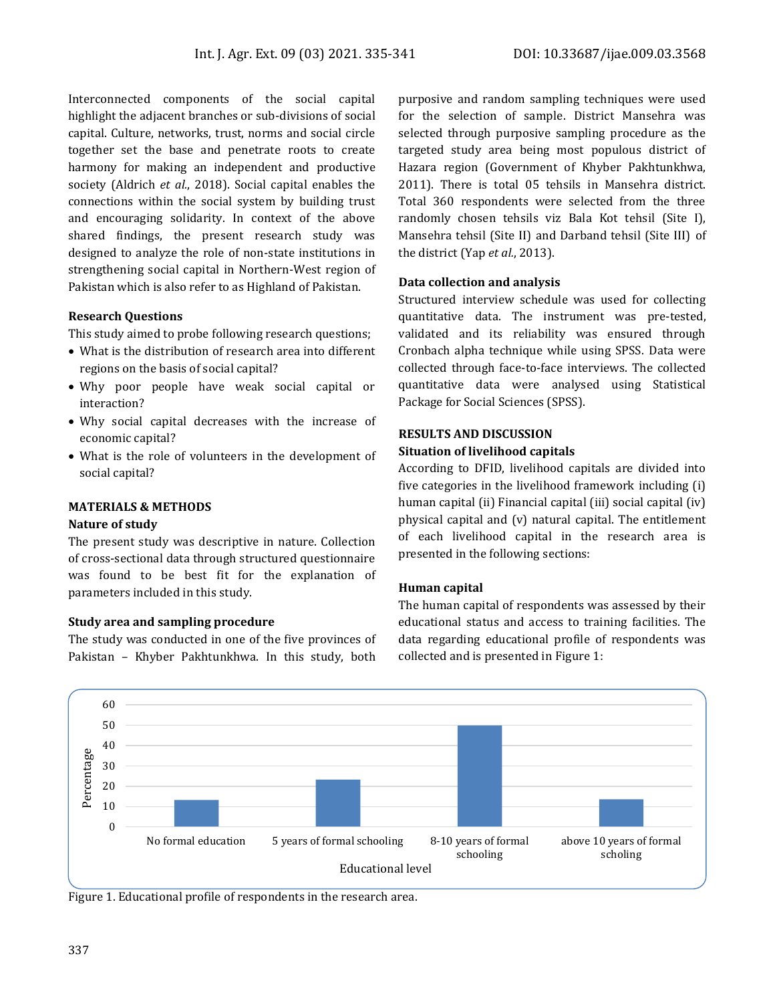Interconnected components of the social capital highlight the adjacent branches or sub-divisions of social capital. Culture, networks, trust, norms and social circle together set the base and penetrate roots to create harmony for making an independent and productive society (Aldrich *et al.*, 2018). Social capital enables the connections within the social system by building trust and encouraging solidarity. In context of the above shared findings, the present research study was designed to analyze the role of non-state institutions in strengthening social capital in Northern-West region of Pakistan which is also refer to as Highland of Pakistan.

#### **Research Questions**

This study aimed to probe following research questions;

- What is the distribution of research area into different regions on the basis of social capital?
- Why poor people have weak social capital or interaction?
- Why social capital decreases with the increase of economic capital?
- What is the role of volunteers in the development of social capital?

### **MATERIALS & METHODS**

#### **Nature of study**

The present study was descriptive in nature. Collection of cross-sectional data through structured questionnaire was found to be best fit for the explanation of parameters included in this study.

#### **Study area and sampling procedure**

The study was conducted in one of the five provinces of Pakistan – Khyber Pakhtunkhwa. In this study, both

purposive and random sampling techniques were used for the selection of sample. District Mansehra was selected through purposive sampling procedure as the targeted study area being most populous district of Hazara region (Government of Khyber Pakhtunkhwa, 2011). There is total 05 tehsils in Mansehra district. Total 360 respondents were selected from the three randomly chosen tehsils viz Bala Kot tehsil (Site I), Mansehra tehsil (Site II) and Darband tehsil (Site III) of the district (Yap *et al.*, 2013).

#### **Data collection and analysis**

Structured interview schedule was used for collecting quantitative data. The instrument was pre-tested, validated and its reliability was ensured through Cronbach alpha technique while using SPSS. Data were collected through face-to-face interviews. The collected quantitative data were analysed using Statistical Package for Social Sciences (SPSS).

#### **RESULTS AND DISCUSSION**

#### **Situation of livelihood capitals**

According to DFID, livelihood capitals are divided into five categories in the livelihood framework including (i) human capital (ii) Financial capital (iii) social capital (iv) physical capital and (v) natural capital. The entitlement of each livelihood capital in the research area is presented in the following sections:

### **Human capital**

The human capital of respondents was assessed by their educational status and access to training facilities. The data regarding educational profile of respondents was collected and is presented in Figure 1:



Figure 1. Educational profile of respondents in the research area.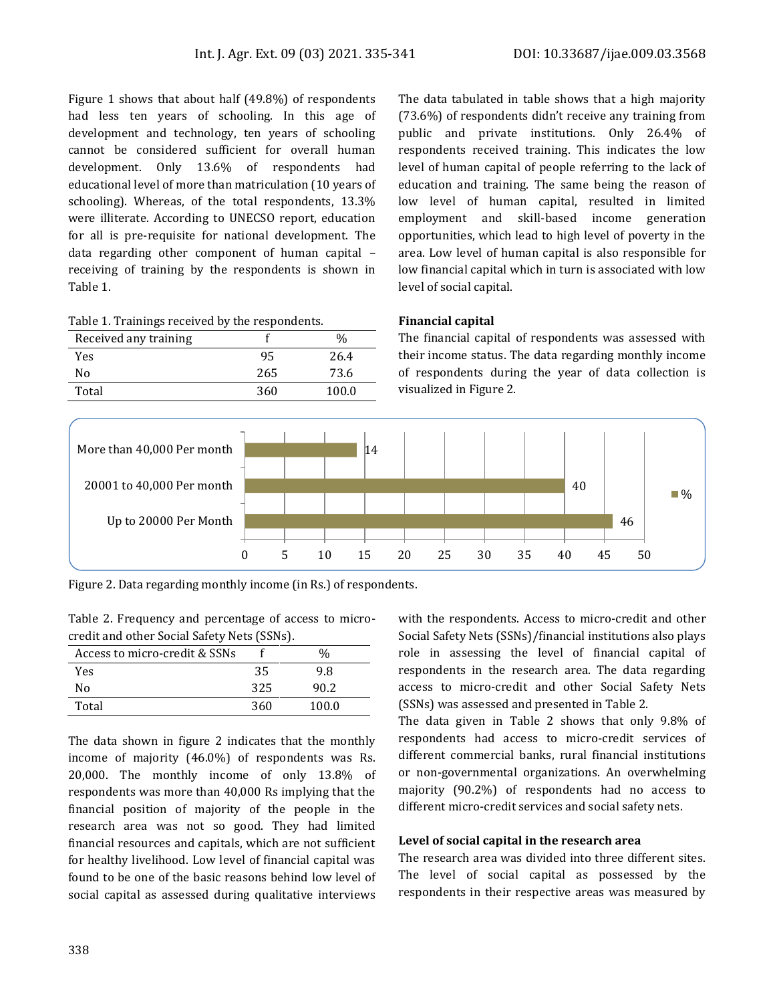Figure 1 shows that about half (49.8%) of respondents had less ten years of schooling. In this age of development and technology, ten years of schooling cannot be considered sufficient for overall human development. Only 13.6% of respondents had educational level of more than matriculation (10 years of schooling). Whereas, of the total respondents, 13.3% were illiterate. According to UNECSO report, education for all is pre-requisite for national development. The data regarding other component of human capital – receiving of training by the respondents is shown in Table 1.

|  |  | Table 1. Trainings received by the respondents. |  |
|--|--|-------------------------------------------------|--|
|  |  |                                                 |  |

| Received any training |     | $\%$  |
|-----------------------|-----|-------|
| Yes                   | 95  | 26.4  |
| No                    | 265 | 73.6  |
| Total                 | 360 | 100.0 |

The data tabulated in table shows that a high majority (73.6%) of respondents didn't receive any training from public and private institutions. Only 26.4% of respondents received training. This indicates the low level of human capital of people referring to the lack of education and training. The same being the reason of low level of human capital, resulted in limited employment and skill-based income generation opportunities, which lead to high level of poverty in the area. Low level of human capital is also responsible for low financial capital which in turn is associated with low level of social capital.

#### **Financial capital**

The financial capital of respondents was assessed with their income status. The data regarding monthly income of respondents during the year of data collection is visualized in Figure 2.



Figure 2. Data regarding monthly income (in Rs.) of respondents.

Table 2. Frequency and percentage of access to microcredit and other Social Safety Nets (SSNs).

|                               |     | -     |
|-------------------------------|-----|-------|
| Access to micro-credit & SSNs |     | $\%$  |
| Yes                           | 35  | 9.8   |
| No                            | 325 | 90.2  |
| Total                         | 360 | 100.0 |

The data shown in figure 2 indicates that the monthly income of majority (46.0%) of respondents was Rs. 20,000. The monthly income of only 13.8% of respondents was more than 40,000 Rs implying that the financial position of majority of the people in the research area was not so good. They had limited financial resources and capitals, which are not sufficient for healthy livelihood. Low level of financial capital was found to be one of the basic reasons behind low level of social capital as assessed during qualitative interviews

with the respondents. Access to micro-credit and other Social Safety Nets (SSNs)/financial institutions also plays role in assessing the level of financial capital of respondents in the research area. The data regarding access to micro-credit and other Social Safety Nets (SSNs) was assessed and presented in Table 2.

The data given in Table 2 shows that only 9.8% of respondents had access to micro-credit services of different commercial banks, rural financial institutions or non-governmental organizations. An overwhelming majority (90.2%) of respondents had no access to different micro-credit services and social safety nets.

### **Level of social capital in the research area**

The research area was divided into three different sites. The level of social capital as possessed by the respondents in their respective areas was measured by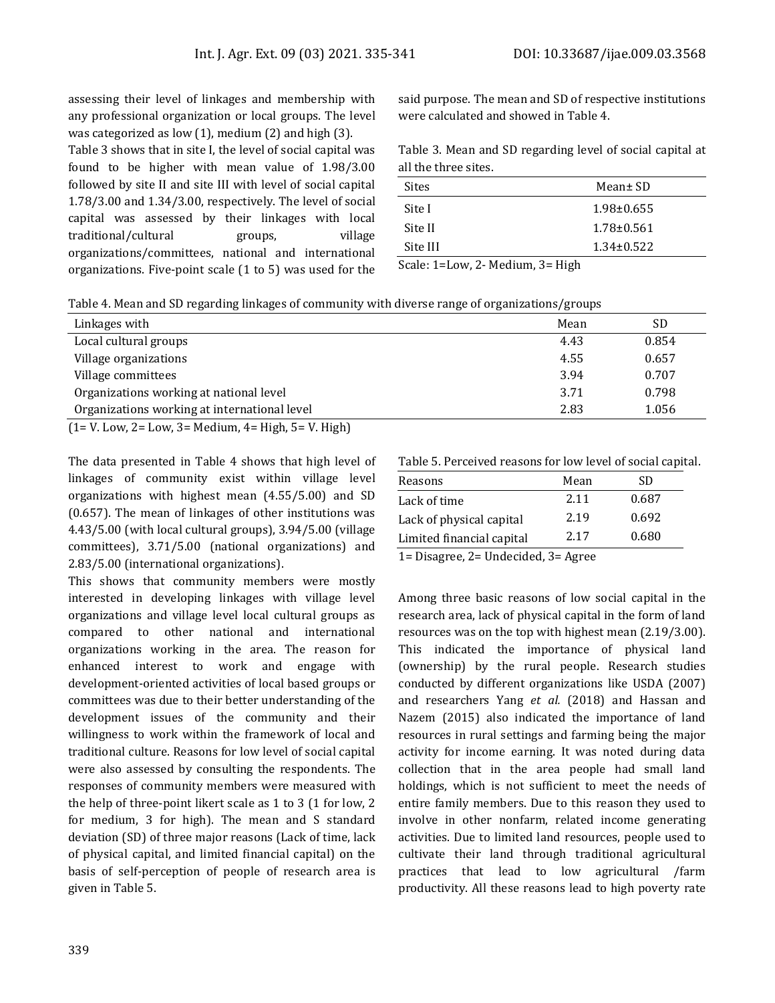assessing their level of linkages and membership with any professional organization or local groups. The level was categorized as low (1), medium (2) and high (3).

Table 3 shows that in site I, the level of social capital was found to be higher with mean value of 1.98/3.00 followed by site II and site III with level of social capital 1.78/3.00 and 1.34/3.00, respectively. The level of social capital was assessed by their linkages with local traditional/cultural groups, village organizations/committees, national and international organizations. Five-point scale (1 to 5) was used for the

said purpose. The mean and SD of respective institutions were calculated and showed in Table 4.

|                      | Table 3. Mean and SD regarding level of social capital at |  |  |
|----------------------|-----------------------------------------------------------|--|--|
| all the three sites. |                                                           |  |  |

| <b>Sites</b> | Mean± SD         |
|--------------|------------------|
| Site I       | $1.98 \pm 0.655$ |
| Site II      | $1.78 \pm 0.561$ |
| Site III     | $1.34\pm0.522$   |

Scale: 1=Low, 2- Medium, 3= High

Table 4. Mean and SD regarding linkages of community with diverse range of organizations/groups

| Linkages with                                              | Mean | SD    |
|------------------------------------------------------------|------|-------|
| Local cultural groups                                      | 4.43 | 0.854 |
| Village organizations                                      | 4.55 | 0.657 |
| Village committees                                         | 3.94 | 0.707 |
| Organizations working at national level                    | 3.71 | 0.798 |
| Organizations working at international level               | 2.83 | 1.056 |
| $(1 = V. Low, 2 = Low, 3 = Medium, 4 = High, 5 = V. High)$ |      |       |

The data presented in Table 4 shows that high level of linkages of community exist within village level organizations with highest mean (4.55/5.00) and SD (0.657). The mean of linkages of other institutions was 4.43/5.00 (with local cultural groups), 3.94/5.00 (village committees), 3.71/5.00 (national organizations) and 2.83/5.00 (international organizations).

This shows that community members were mostly interested in developing linkages with village level organizations and village level local cultural groups as compared to other national and international organizations working in the area. The reason for enhanced interest to work and engage with development-oriented activities of local based groups or committees was due to their better understanding of the development issues of the community and their willingness to work within the framework of local and traditional culture. Reasons for low level of social capital were also assessed by consulting the respondents. The responses of community members were measured with the help of three-point likert scale as 1 to 3 (1 for low, 2 for medium, 3 for high). The mean and S standard deviation (SD) of three major reasons (Lack of time, lack of physical capital, and limited financial capital) on the basis of self-perception of people of research area is given in Table 5.

Table 5. Perceived reasons for low level of social capital.

| Reasons                   | Mean | SD    |
|---------------------------|------|-------|
| Lack of time              | 2.11 | 0.687 |
| Lack of physical capital  | 2.19 | 0.692 |
| Limited financial capital | 2.17 | 0.680 |
|                           |      |       |

1= Disagree, 2= Undecided, 3= Agree

Among three basic reasons of low social capital in the research area, lack of physical capital in the form of land resources was on the top with highest mean (2.19/3.00). This indicated the importance of physical land (ownership) by the rural people. Research studies conducted by different organizations like USDA (2007) and researchers Yang *et al.* (2018) and Hassan and Nazem (2015) also indicated the importance of land resources in rural settings and farming being the major activity for income earning. It was noted during data collection that in the area people had small land holdings, which is not sufficient to meet the needs of entire family members. Due to this reason they used to involve in other nonfarm, related income generating activities. Due to limited land resources, people used to cultivate their land through traditional agricultural practices that lead to low agricultural /farm productivity. All these reasons lead to high poverty rate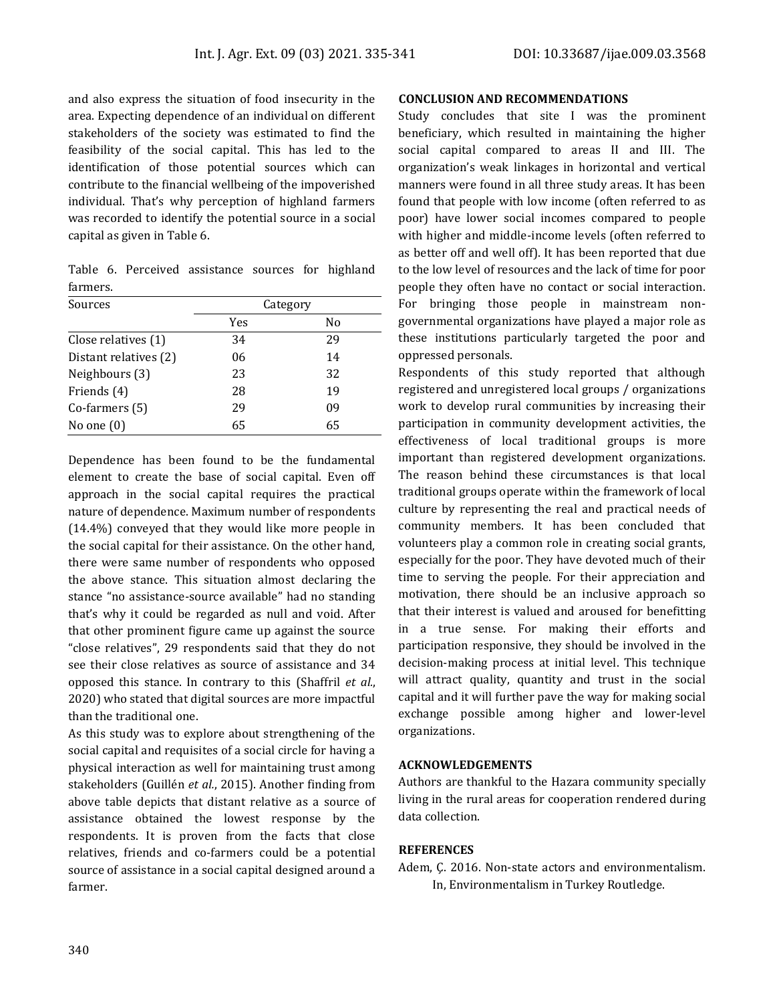and also express the situation of food insecurity in the area. Expecting dependence of an individual on different stakeholders of the society was estimated to find the feasibility of the social capital. This has led to the identification of those potential sources which can contribute to the financial wellbeing of the impoverished individual. That's why perception of highland farmers was recorded to identify the potential source in a social capital as given in Table 6.

Table 6. Perceived assistance sources for highland farmers.

| Sources               | Category |    |  |
|-----------------------|----------|----|--|
|                       | Yes      | No |  |
| Close relatives (1)   | 34       | 29 |  |
| Distant relatives (2) | 06       | 14 |  |
| Neighbours (3)        | 23       | 32 |  |
| Friends (4)           | 28       | 19 |  |
| Co-farmers (5)        | 29       | 09 |  |
| No one $(0)$          | 65       | 65 |  |

Dependence has been found to be the fundamental element to create the base of social capital. Even off approach in the social capital requires the practical nature of dependence. Maximum number of respondents (14.4%) conveyed that they would like more people in the social capital for their assistance. On the other hand, there were same number of respondents who opposed the above stance. This situation almost declaring the stance "no assistance-source available" had no standing that's why it could be regarded as null and void. After that other prominent figure came up against the source "close relatives", 29 respondents said that they do not see their close relatives as source of assistance and 34 opposed this stance. In contrary to this (Shaffril *et al.*, 2020) who stated that digital sources are more impactful than the traditional one.

As this study was to explore about strengthening of the social capital and requisites of a social circle for having a physical interaction as well for maintaining trust among stakeholders (Guillén *et al.*, 2015). Another finding from above table depicts that distant relative as a source of assistance obtained the lowest response by the respondents. It is proven from the facts that close relatives, friends and co-farmers could be a potential source of assistance in a social capital designed around a farmer.

#### **CONCLUSION AND RECOMMENDATIONS**

Study concludes that site I was the prominent beneficiary, which resulted in maintaining the higher social capital compared to areas II and III. The organization's weak linkages in horizontal and vertical manners were found in all three study areas. It has been found that people with low income (often referred to as poor) have lower social incomes compared to people with higher and middle-income levels (often referred to as better off and well off). It has been reported that due to the low level of resources and the lack of time for poor people they often have no contact or social interaction. For bringing those people in mainstream nongovernmental organizations have played a major role as these institutions particularly targeted the poor and oppressed personals.

Respondents of this study reported that although registered and unregistered local groups / organizations work to develop rural communities by increasing their participation in community development activities, the effectiveness of local traditional groups is more important than registered development organizations. The reason behind these circumstances is that local traditional groups operate within the framework of local culture by representing the real and practical needs of community members. It has been concluded that volunteers play a common role in creating social grants, especially for the poor. They have devoted much of their time to serving the people. For their appreciation and motivation, there should be an inclusive approach so that their interest is valued and aroused for benefitting in a true sense. For making their efforts and participation responsive, they should be involved in the decision-making process at initial level. This technique will attract quality, quantity and trust in the social capital and it will further pave the way for making social exchange possible among higher and lower-level organizations.

#### **ACKNOWLEDGEMENTS**

Authors are thankful to the Hazara community specially living in the rural areas for cooperation rendered during data collection.

#### **REFERENCES**

Adem, Ç. 2016. Non-state actors and environmentalism. In, Environmentalism in Turkey Routledge.